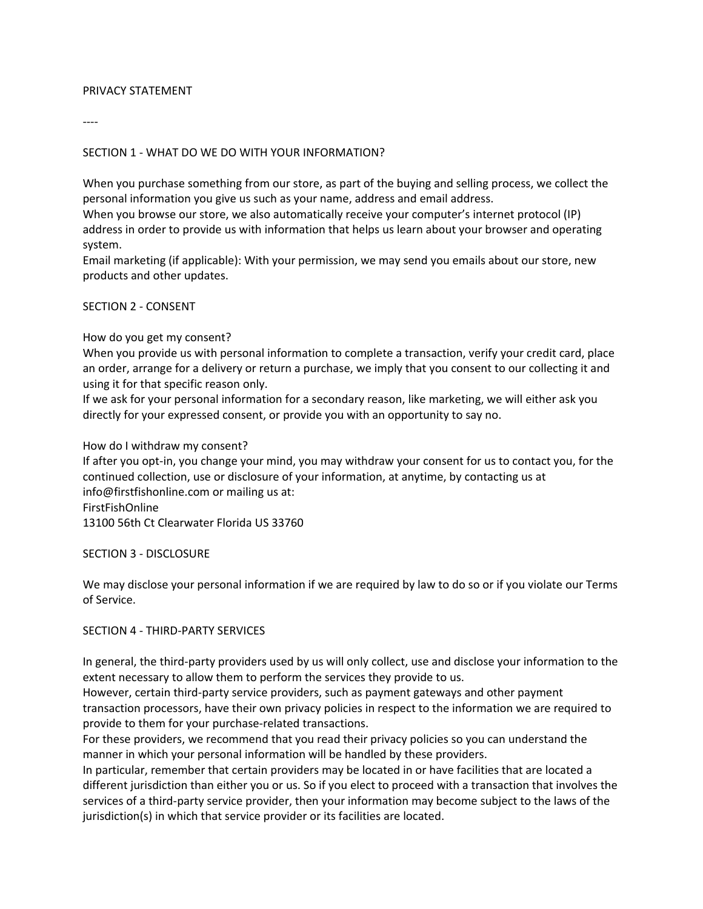### PRIVACY STATEMENT

----

## SECTION 1 - WHAT DO WE DO WITH YOUR INFORMATION?

When you purchase something from our store, as part of the buying and selling process, we collect the personal information you give us such as your name, address and email address.

When you browse our store, we also automatically receive your computer's internet protocol (IP) address in order to provide us with information that helps us learn about your browser and operating system.

Email marketing (if applicable): With your permission, we may send you emails about our store, new products and other updates.

### SECTION 2 - CONSENT

### How do you get my consent?

When you provide us with personal information to complete a transaction, verify your credit card, place an order, arrange for a delivery or return a purchase, we imply that you consent to our collecting it and using it for that specific reason only.

If we ask for your personal information for a secondary reason, like marketing, we will either ask you directly for your expressed consent, or provide you with an opportunity to say no.

#### How do I withdraw my consent?

If after you opt-in, you change your mind, you may withdraw your consent for us to contact you, for the continued collection, use or disclosure of your information, at anytime, by contacting us at info@firstfishonline.com or mailing us at: FirstFishOnline

13100 56th Ct Clearwater Florida US 33760

#### SECTION 3 - DISCLOSURE

We may disclose your personal information if we are required by law to do so or if you violate our Terms of Service.

#### SECTION 4 - THIRD-PARTY SERVICES

In general, the third-party providers used by us will only collect, use and disclose your information to the extent necessary to allow them to perform the services they provide to us.

However, certain third-party service providers, such as payment gateways and other payment transaction processors, have their own privacy policies in respect to the information we are required to provide to them for your purchase-related transactions.

For these providers, we recommend that you read their privacy policies so you can understand the manner in which your personal information will be handled by these providers.

In particular, remember that certain providers may be located in or have facilities that are located a different jurisdiction than either you or us. So if you elect to proceed with a transaction that involves the services of a third-party service provider, then your information may become subject to the laws of the jurisdiction(s) in which that service provider or its facilities are located.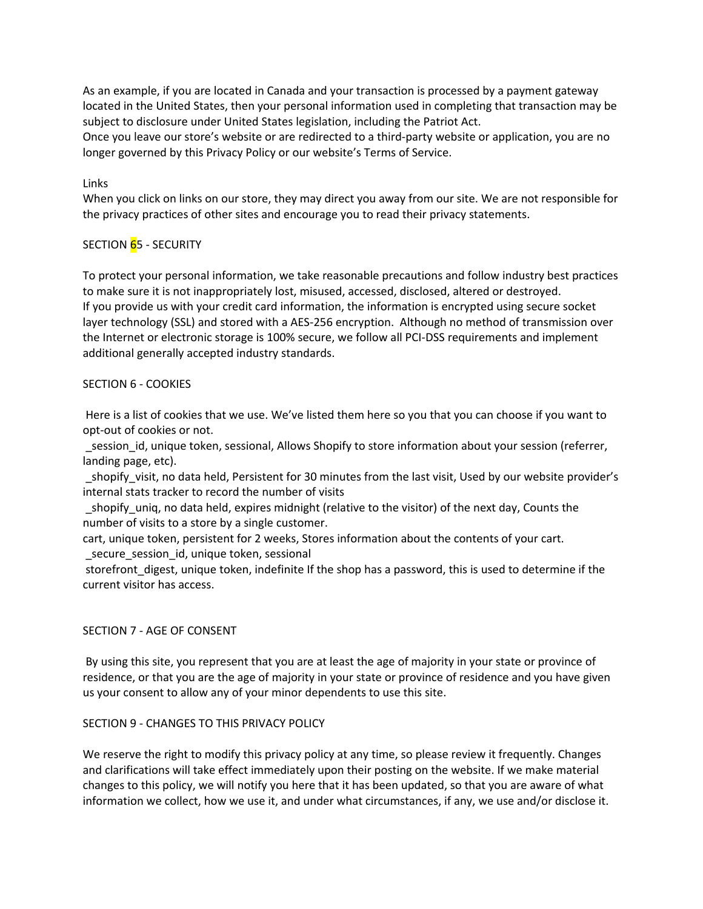As an example, if you are located in Canada and your transaction is processed by a payment gateway located in the United States, then your personal information used in completing that transaction may be subject to disclosure under United States legislation, including the Patriot Act.

Once you leave our store's website or are redirected to a third-party website or application, you are no longer governed by this Privacy Policy or our website's Terms of Service.

## Links

When you click on links on our store, they may direct you away from our site. We are not responsible for the privacy practices of other sites and encourage you to read their privacy statements.

# SECTION 65 - SECURITY

To protect your personal information, we take reasonable precautions and follow industry best practices to make sure it is not inappropriately lost, misused, accessed, disclosed, altered or destroyed. If you provide us with your credit card information, the information is encrypted using secure socket layer technology (SSL) and stored with a AES-256 encryption. Although no method of transmission over the Internet or electronic storage is 100% secure, we follow all PCI-DSS requirements and implement additional generally accepted industry standards.

## SECTION 6 - COOKIES

 Here is a list of cookies that we use. We've listed them here so you that you can choose if you want to opt-out of cookies or not.

 \_session\_id, unique token, sessional, Allows Shopify to store information about your session (referrer, landing page, etc).

shopify visit, no data held, Persistent for 30 minutes from the last visit, Used by our website provider's internal stats tracker to record the number of visits

shopify uniq, no data held, expires midnight (relative to the visitor) of the next day, Counts the number of visits to a store by a single customer.

cart, unique token, persistent for 2 weeks, Stores information about the contents of your cart. \_secure\_session\_id, unique token, sessional

storefront digest, unique token, indefinite If the shop has a password, this is used to determine if the current visitor has access.

## SECTION 7 - AGE OF CONSENT

 By using this site, you represent that you are at least the age of majority in your state or province of residence, or that you are the age of majority in your state or province of residence and you have given us your consent to allow any of your minor dependents to use this site.

## SECTION 9 - CHANGES TO THIS PRIVACY POLICY

We reserve the right to modify this privacy policy at any time, so please review it frequently. Changes and clarifications will take effect immediately upon their posting on the website. If we make material changes to this policy, we will notify you here that it has been updated, so that you are aware of what information we collect, how we use it, and under what circumstances, if any, we use and/or disclose it.